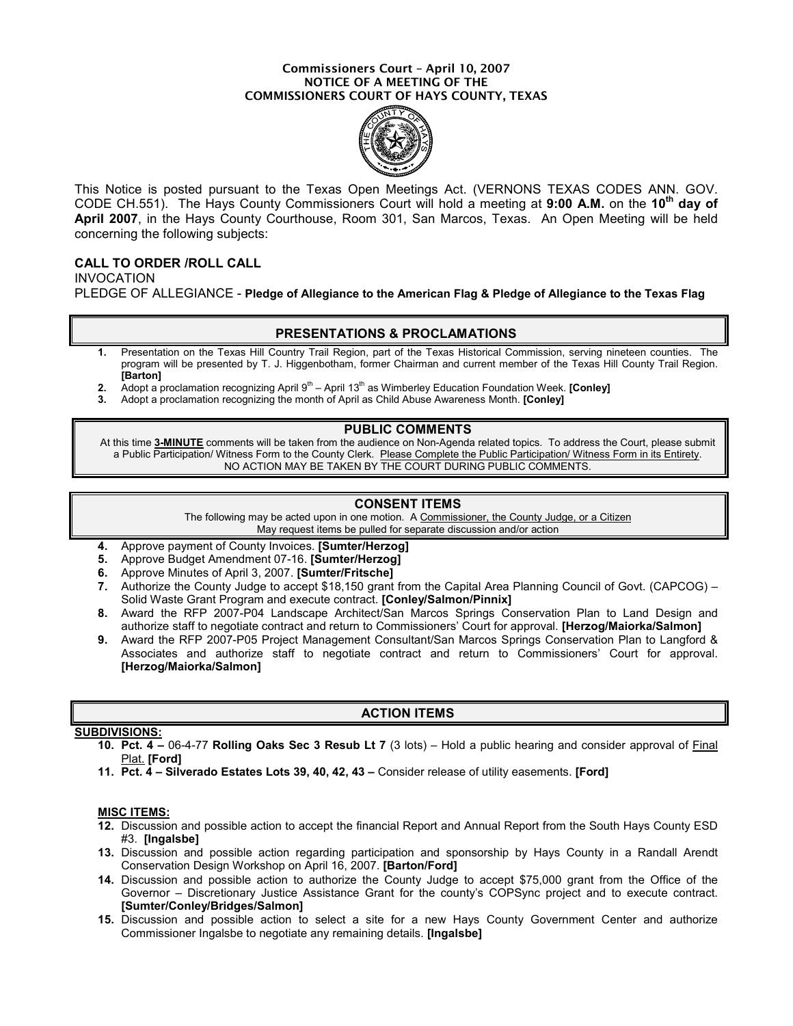#### Commissioners Court – April 10, 2007 NOTICE OF A MEETING OF THE COMMISSIONERS COURT OF HAYS COUNTY, TEXAS



This Notice is posted pursuant to the Texas Open Meetings Act. (VERNONS TEXAS CODES ANN. GOV. CODE CH.551). The Hays County Commissioners Court will hold a meeting at 9:00 A.M. on the 10<sup>th</sup> day of April 2007, in the Hays County Courthouse, Room 301, San Marcos, Texas. An Open Meeting will be held concerning the following subjects:

# CALL TO ORDER /ROLL CALL

INVOCATION PLEDGE OF ALLEGIANCE - Pledge of Allegiance to the American Flag & Pledge of Allegiance to the Texas Flag

### PRESENTATIONS & PROCLAMATIONS

- 1. Presentation on the Texas Hill Country Trail Region, part of the Texas Historical Commission, serving nineteen counties. The program will be presented by T. J. Higgenbotham, former Chairman and current member of the Texas Hill County Trail Region. [Barton]
- 2. Adopt a proclamation recognizing April  $9<sup>th</sup>$  April 13<sup>th</sup> as Wimberley Education Foundation Week. **[Conley]**
- 3. Adopt a proclamation recognizing the month of April as Child Abuse Awareness Month. [Conley]

### PUBLIC COMMENTS

At this time 3-MINUTE comments will be taken from the audience on Non-Agenda related topics. To address the Court, please submit a Public Participation/ Witness Form to the County Clerk. Please Complete the Public Participation/ Witness Form in its Entirety. NO ACTION MAY BE TAKEN BY THE COURT DURING PUBLIC COMMENTS.

# CONSENT ITEMS

The following may be acted upon in one motion. A Commissioner, the County Judge, or a Citizen May request items be pulled for separate discussion and/or action

- 4. Approve payment of County Invoices. [Sumter/Herzog]
- 5. Approve Budget Amendment 07-16. [Sumter/Herzog]
- 6. Approve Minutes of April 3, 2007. [Sumter/Fritsche]
- 7. Authorize the County Judge to accept \$18,150 grant from the Capital Area Planning Council of Govt. (CAPCOG) Solid Waste Grant Program and execute contract. [Conley/Salmon/Pinnix]
- 8. Award the RFP 2007-P04 Landscape Architect/San Marcos Springs Conservation Plan to Land Design and authorize staff to negotiate contract and return to Commissioners' Court for approval. [Herzog/Maiorka/Salmon]
- 9. Award the RFP 2007-P05 Project Management Consultant/San Marcos Springs Conservation Plan to Langford & Associates and authorize staff to negotiate contract and return to Commissioners' Court for approval. [Herzog/Maiorka/Salmon]

# ACTION ITEMS

# SUBDIVISIONS:

- 10. Pct. 4 06-4-77 Rolling Oaks Sec 3 Resub Lt 7 (3 lots) Hold a public hearing and consider approval of Final Plat. **[Ford]**
- 11. Pct. 4 Silverado Estates Lots 39, 40, 42, 43 Consider release of utility easements. [Ford]

### MISC ITEMS:

- 12. Discussion and possible action to accept the financial Report and Annual Report from the South Hays County ESD #3. [Ingalsbe]
- 13. Discussion and possible action regarding participation and sponsorship by Hays County in a Randall Arendt Conservation Design Workshop on April 16, 2007. [Barton/Ford]
- 14. Discussion and possible action to authorize the County Judge to accept \$75,000 grant from the Office of the Governor – Discretionary Justice Assistance Grant for the county's COPSync project and to execute contract. [Sumter/Conley/Bridges/Salmon]
- 15. Discussion and possible action to select a site for a new Hays County Government Center and authorize Commissioner Ingalsbe to negotiate any remaining details. [Ingalsbe]